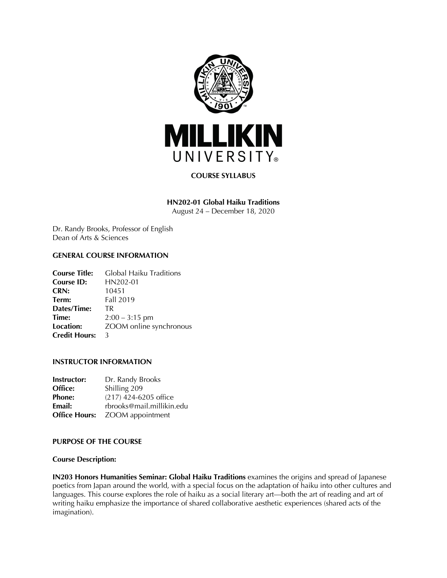

# **COURSE SYLLABUS**

# **HN202-01 Global Haiku Traditions**

August 24 – December 18, 2020

Dr. Randy Brooks, Professor of English Dean of Arts & Sciences

# **GENERAL COURSE INFORMATION**

| <b>Course Title:</b> | Global Haiku Traditions |
|----------------------|-------------------------|
| <b>Course ID:</b>    | HN202-01                |
| CRN:                 | 10451                   |
| Term:                | Fall 2019               |
| Dates/Time:          | <b>TR</b>               |
| Time:                | $2:00 - 3:15$ pm        |
| Location:            | ZOOM online synchronous |
| <b>Credit Hours:</b> | 3                       |

# **INSTRUCTOR INFORMATION**

| <b>Instructor:</b>   | Dr. Randy Brooks          |
|----------------------|---------------------------|
| Office:              | Shilling 209              |
| <b>Phone:</b>        | (217) 424-6205 office     |
| Email:               | rbrooks@mail.millikin.edu |
| <b>Office Hours:</b> | ZOOM appointment          |

## **PURPOSE OF THE COURSE**

## **Course Description:**

**IN203 Honors Humanities Seminar: Global Haiku Traditions** examines the origins and spread of Japanese poetics from Japan around the world, with a special focus on the adaptation of haiku into other cultures and languages. This course explores the role of haiku as a social literary art—both the art of reading and art of writing haiku emphasize the importance of shared collaborative aesthetic experiences (shared acts of the imagination).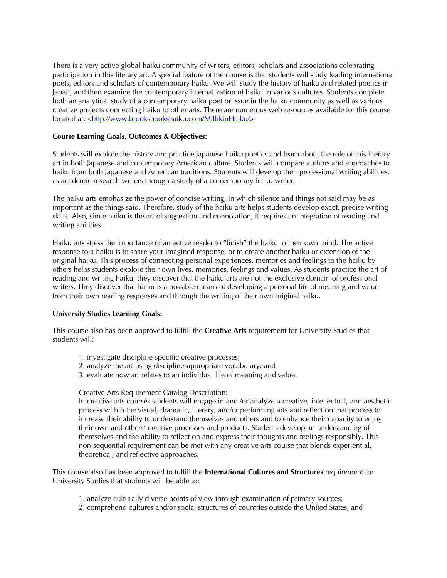There is a very active global haiku community of writers, editors, scholars and associations celebrating participation in this literary art. A special feature of the course is that students will study leading international poets, editors and scholars of contemporary haiku. We will study the history of haiku and related poetics in Japan, and then examine the contemporary internalization of haiku in various cultures. Students complete both an analytical study of a contemporary haiku poet or issue in the haiku community as well as various creative projects connecting haiku to other arts. There are numerous web resources available for this course located at: <http://www.brooksbookshaiku.com/MillikinHaiku/>.

# **Course Learning Goals, Outcomes & Objectives:**

Students will explore the history and practice Japanese haiku poetics and learn about the role of this literary art in both Japanese and contemporary American culture. Students will compare authors and approaches to haiku from both Japanese and American traditions. Students will develop their professional writing abilities, as academic research writers through a study of a contemporary haiku writer.

The haiku arts emphasize the power of concise writing, in which silence and things not said may be as important as the things said. Therefore, study of the haiku arts helps students develop exact, precise writing skills. Also, since haiku is the art of suggestion and connotation, it requires an integration of reading and writing abilities.

Haiku arts stress the importance of an active reader to "finish" the haiku in their own mind. The active response to a haiku is to share your imagined response, or to create another haiku or extension of the original haiku. This process of connecting personal experiences, memories and feelings to the haiku by others helps students explore their own lives, memories, feelings and values. As students practice the art of reading and writing haiku, they discover that the haiku arts are not the exclusive domain of professional writers. They discover that haiku is a possible means of developing a personal life of meaning and value from their own reading responses and through the writing of their own original haiku.

# **University Studies Learning Goals:**

This course also has been approved to fulfill the **Creative Arts** requirement for University Studies that students will:

- 1. investigate discipline-specific creative processes;
- 2. analyze the art using discipline-appropriate vocabulary; and
- 3. evaluate how art relates to an individual life of meaning and value.

## Creative Arts Requirement Catalog Description:

In creative arts courses students will engage in and /or analyze a creative, intellectual, and aesthetic process within the visual, dramatic, literary, and/or performing arts and reflect on that process to increase their ability to understand themselves and others and to enhance their capacity to enjoy their own and others' creative processes and products. Students develop an understanding of themselves and the ability to reflect on and express their thoughts and feelings responsibly. This non-sequential requirement can be met with any creative arts course that blends experiential, theoretical, and reflective approaches.

This course also has been approved to fulfill the **International Cultures and Structures** requirement for University Studies that students will be able to:

- 1. analyze culturally diverse points of view through examination of primary sources;
- 2. comprehend cultures and/or social structures of countries outside the United States; and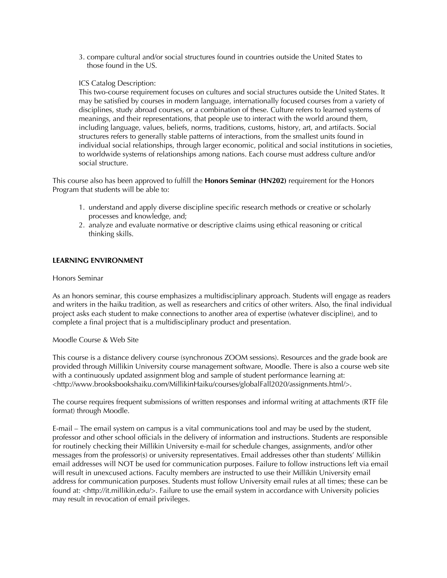3. compare cultural and/or social structures found in countries outside the United States to those found in the US.

# ICS Catalog Description:

This two-course requirement focuses on cultures and social structures outside the United States. It may be satisfied by courses in modern language, internationally focused courses from a variety of disciplines, study abroad courses, or a combination of these. Culture refers to learned systems of meanings, and their representations, that people use to interact with the world around them, including language, values, beliefs, norms, traditions, customs, history, art, and artifacts. Social structures refers to generally stable patterns of interactions, from the smallest units found in individual social relationships, through larger economic, political and social institutions in societies, to worldwide systems of relationships among nations. Each course must address culture and/or social structure.

This course also has been approved to fulfill the **Honors Seminar (HN202)** requirement for the Honors Program that students will be able to:

- 1. understand and apply diverse discipline specific research methods or creative or scholarly processes and knowledge, and;
- 2. analyze and evaluate normative or descriptive claims using ethical reasoning or critical thinking skills.

# **LEARNING ENVIRONMENT**

## Honors Seminar

As an honors seminar, this course emphasizes a multidisciplinary approach. Students will engage as readers and writers in the haiku tradition, as well as researchers and critics of other writers. Also, the final individual project asks each student to make connections to another area of expertise (whatever discipline), and to complete a final project that is a multidisciplinary product and presentation.

## Moodle Course & Web Site

This course is a distance delivery course (synchronous ZOOM sessions). Resources and the grade book are provided through Millikin University course management software, Moodle. There is also a course web site with a continuously updated assignment blog and sample of student performance learning at: <http://www.brooksbookshaiku.com/MillikinHaiku/courses/globalFall2020/assignments.html/>.

The course requires frequent submissions of written responses and informal writing at attachments (RTF file format) through Moodle.

E-mail – The email system on campus is a vital communications tool and may be used by the student, professor and other school officials in the delivery of information and instructions. Students are responsible for routinely checking their Millikin University e-mail for schedule changes, assignments, and/or other messages from the professor(s) or university representatives. Email addresses other than students' Millikin email addresses will NOT be used for communication purposes. Failure to follow instructions left via email will result in unexcused actions. Faculty members are instructed to use their Millikin University email address for communication purposes. Students must follow University email rules at all times; these can be found at: <http://it.millikin.edu/>. Failure to use the email system in accordance with University policies may result in revocation of email privileges.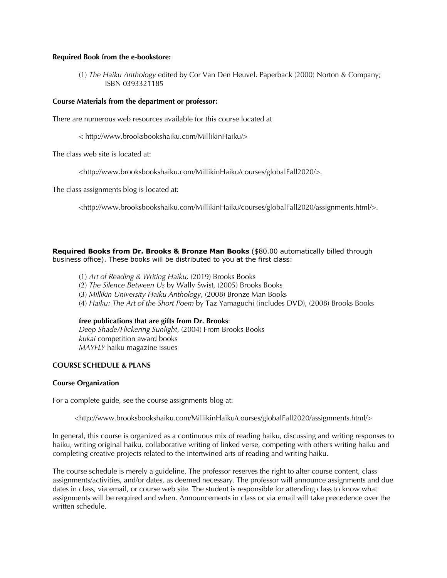## **Required Book from the e-bookstore:**

(1) *The Haiku Anthology* edited by Cor Van Den Heuvel. Paperback (2000) Norton & Company; ISBN 0393321185

# **Course Materials from the department or professor:**

There are numerous web resources available for this course located at

< http://www.brooksbookshaiku.com/MillikinHaiku/>

The class web site is located at:

<http://www.brooksbookshaiku.com/MillikinHaiku/courses/globalFall2020/>.

The class assignments blog is located at:

<http://www.brooksbookshaiku.com/MillikinHaiku/courses/globalFall2020/assignments.html/>.

**Required Books from Dr. Brooks & Bronze Man Books** (\$80.00 automatically billed through business office). These books will be distributed to you at the first class:

- (1) *Art of Reading & Writing Haiku,* (2019) Brooks Books
- (2) *The Silence Between Us* by Wally Swist, (2005) Brooks Books
- (3) *Millikin University Haiku Anthology*, (2008) Bronze Man Books
- (4) *Haiku: The Art of the Short Poem* by Taz Yamaguchi (includes DVD), (2008) Brooks Books

#### **free publications that are gifts from Dr. Brooks**:

*Deep Shade/Flickering Sunlight*, (2004) From Brooks Books *kukai* competition award books *MAYFLY* haiku magazine issues

## **COURSE SCHEDULE & PLANS**

#### **Course Organization**

For a complete guide, see the course assignments blog at:

<http://www.brooksbookshaiku.com/MillikinHaiku/courses/globalFall2020/assignments.html/>

In general, this course is organized as a continuous mix of reading haiku, discussing and writing responses to haiku, writing original haiku, collaborative writing of linked verse, competing with others writing haiku and completing creative projects related to the intertwined arts of reading and writing haiku.

The course schedule is merely a guideline. The professor reserves the right to alter course content, class assignments/activities, and/or dates, as deemed necessary. The professor will announce assignments and due dates in class, via email, or course web site. The student is responsible for attending class to know what assignments will be required and when. Announcements in class or via email will take precedence over the written schedule.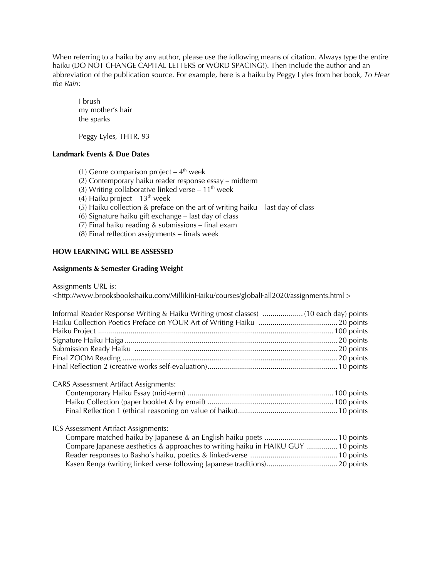When referring to a haiku by any author, please use the following means of citation. Always type the entire haiku (DO NOT CHANGE CAPITAL LETTERS or WORD SPACING!). Then include the author and an abbreviation of the publication source. For example, here is a haiku by Peggy Lyles from her book, *To Hear the Rain*:

I brush my mother's hair the sparks

Peggy Lyles, THTR, 93

# **Landmark Events & Due Dates**

(1) Genre comparison project –  $4<sup>th</sup>$  week (2) Contemporary haiku reader response essay – midterm (3) Writing collaborative linked verse  $-11^{th}$  week (4) Haiku project –  $13^{th}$  week (5) Haiku collection & preface on the art of writing haiku – last day of class (6) Signature haiku gift exchange – last day of class (7) Final haiku reading  $&$  submissions – final exam (8) Final reflection assignments – finals week

# **HOW LEARNING WILL BE ASSESSED**

# **Assignments & Semester Grading Weight**

Assignments URL is:

<http://www.brooksbookshaiku.com/MillikinHaiku/courses/globalFall2020/assignments.html >

# CARS Assessment Artifact Assignments: Contemporary Haiku Essay (mid-term) ........................................................................ 100 points

## ICS Assessment Artifact Assignments:

| Compare Japanese aesthetics & approaches to writing haiku in HAIKU GUY  10 points |  |
|-----------------------------------------------------------------------------------|--|
|                                                                                   |  |
|                                                                                   |  |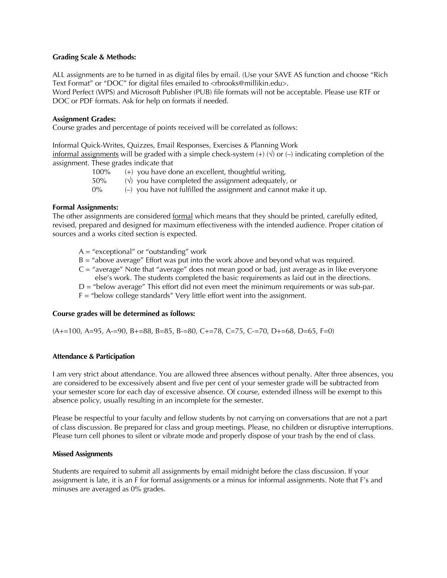## **Grading Scale & Methods:**

ALL assignments are to be turned in as digital files by email. (Use your SAVE AS function and choose "Rich Text Format" or "DOC" for digital files emailed to <rbrooks@millikin.edu>. Word Perfect (WPS) and Microsoft Publisher (PUB) file formats will not be acceptable. Please use RTF or DOC or PDF formats. Ask for help on formats if needed.

## **Assignment Grades:**

Course grades and percentage of points received will be correlated as follows:

Informal Quick-Writes, Quizzes, Email Responses, Exercises & Planning Work informal assignments will be graded with a simple check-system  $(+)$  ( $\sqrt{$ ) or (–) indicating completion of the assignment. These grades indicate that

> 100% (+) you have done an excellent, thoughtful writing, 50%  $(\sqrt{2})$  you have completed the assignment adequately, or  $0\%$   $(-)$  you have not fulfilled the assignment and cannot make it up.

## **Formal Assignments:**

The other assignments are considered formal which means that they should be printed, carefully edited, revised, prepared and designed for maximum effectiveness with the intended audience. Proper citation of sources and a works cited section is expected.

- $A = "exceptional"$  or "outstanding" work
- B = "above average" Effort was put into the work above and beyond what was required.
- $C =$  "average" Note that "average" does not mean good or bad, just average as in like everyone else's work. The students completed the basic requirements as laid out in the directions.
- D = "below average" This effort did not even meet the minimum requirements or was sub-par.
- F = "below college standards" Very little effort went into the assignment.

## **Course grades will be determined as follows:**

 $(A+=100, A=95, A=-90, B+=88, B=85, B=-80, C+=78, C=-75, C=-70, D+=68, D=65, F=0)$ 

#### **Attendance & Participation**

I am very strict about attendance. You are allowed three absences without penalty. After three absences, you are considered to be excessively absent and five per cent of your semester grade will be subtracted from your semester score for each day of excessive absence. Of course, extended illness will be exempt to this absence policy, usually resulting in an incomplete for the semester.

Please be respectful to your faculty and fellow students by not carrying on conversations that are not a part of class discussion. Be prepared for class and group meetings. Please, no children or disruptive interruptions. Please turn cell phones to silent or vibrate mode and properly dispose of your trash by the end of class.

## **Missed Assignments**

Students are required to submit all assignments by email midnight before the class discussion. If your assignment is late, it is an F for formal assignments or a minus for informal assignments. Note that F's and minuses are averaged as 0% grades.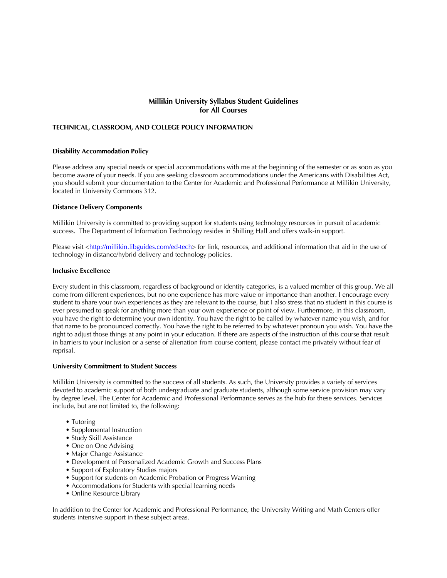# **Millikin University Syllabus Student Guidelines for All Courses**

#### **TECHNICAL, CLASSROOM, AND COLLEGE POLICY INFORMATION**

#### **Disability Accommodation Policy**

Please address any special needs or special accommodations with me at the beginning of the semester or as soon as you become aware of your needs. If you are seeking classroom accommodations under the Americans with Disabilities Act, you should submit your documentation to the Center for Academic and Professional Performance at Millikin University, located in University Commons 312.

#### **Distance Delivery Components**

Millikin University is committed to providing support for students using technology resources in pursuit of academic success. The Department of Information Technology resides in Shilling Hall and offers walk-in support.

Please visit <http://millikin.libguides.com/ed-tech> for link, resources, and additional information that aid in the use of technology in distance/hybrid delivery and technology policies.

#### **Inclusive Excellence**

Every student in this classroom, regardless of background or identity categories, is a valued member of this group. We all come from different experiences, but no one experience has more value or importance than another. I encourage every student to share your own experiences as they are relevant to the course, but I also stress that no student in this course is ever presumed to speak for anything more than your own experience or point of view. Furthermore, in this classroom, you have the right to determine your own identity. You have the right to be called by whatever name you wish, and for that name to be pronounced correctly. You have the right to be referred to by whatever pronoun you wish. You have the right to adjust those things at any point in your education. If there are aspects of the instruction of this course that result in barriers to your inclusion or a sense of alienation from course content, please contact me privately without fear of reprisal.

#### **University Commitment to Student Success**

Millikin University is committed to the success of all students. As such, the University provides a variety of services devoted to academic support of both undergraduate and graduate students, although some service provision may vary by degree level. The Center for Academic and Professional Performance serves as the hub for these services. Services include, but are not limited to, the following:

- Tutoring
- Supplemental Instruction
- Study Skill Assistance
- One on One Advising
- Major Change Assistance
- Development of Personalized Academic Growth and Success Plans
- Support of Exploratory Studies majors
- Support for students on Academic Probation or Progress Warning
- Accommodations for Students with special learning needs
- Online Resource Library

In addition to the Center for Academic and Professional Performance, the University Writing and Math Centers offer students intensive support in these subject areas.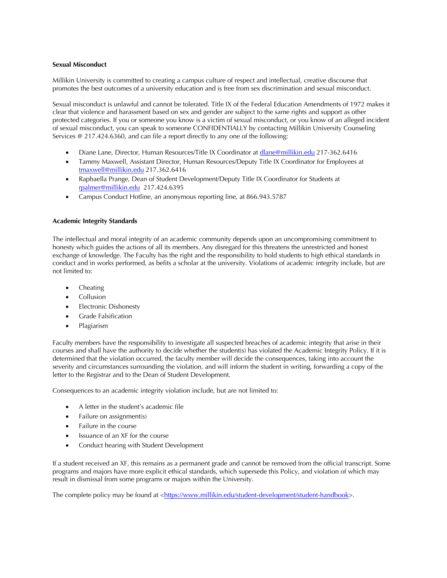## **Sexual Misconduct**

Millikin University is committed to creating a campus culture of respect and intellectual, creative discourse that promotes the best outcomes of a university education and is free from sex discrimination and sexual misconduct.

Sexual misconduct is unlawful and cannot be tolerated. Title IX of the Federal Education Amendments of 1972 makes it clear that violence and harassment based on sex and gender are subject to the same rights and support as other protected categories. If you or someone you know is a victim of sexual misconduct, or you know of an alleged incident of sexual misconduct, you can speak to someone CONFIDENTIALLY by contacting Millikin University Counseling Services @ 217.424.6360, and can file a report directly to any one of the following:

- Diane Lane, Director, Human Resources/Title IX Coordinator at dlane@millikin.edu 217-362.6416
- Tammy Maxwell, Assistant Director, Human Resources/Deputy Title IX Coordinator for Employees at tmaxwell@millikin.edu 217.362.6416
- Raphaella Prange, Dean of Student Development/Deputy Title IX Coordinator for Students at rpalmer@millikin.edu 217.424.6395
- Campus Conduct Hotline, an anonymous reporting line, at 866.943.5787

## **Academic Integrity Standards**

The intellectual and moral integrity of an academic community depends upon an uncompromising commitment to honesty which guides the actions of all its members. Any disregard for this threatens the unrestricted and honest exchange of knowledge. The Faculty has the right and the responsibility to hold students to high ethical standards in conduct and in works performed, as befits a scholar at the university. Violations of academic integrity include, but are not limited to:

- Cheating
- **Collusion**
- Electronic Dishonesty
- Grade Falsification
- Plagiarism

Faculty members have the responsibility to investigate all suspected breaches of academic integrity that arise in their courses and shall have the authority to decide whether the student(s) has violated the Academic Integrity Policy. If it is determined that the violation occurred, the faculty member will decide the consequences, taking into account the severity and circumstances surrounding the violation, and will inform the student in writing, forwarding a copy of the letter to the Registrar and to the Dean of Student Development.

Consequences to an academic integrity violation include, but are not limited to:

- A letter in the student's academic file
- Failure on assignment(s)
- Failure in the course
- Issuance of an XF for the course
- Conduct hearing with Student Development

If a student received an XF, this remains as a permanent grade and cannot be removed from the official transcript. Some programs and majors have more explicit ethical standards, which supersede this Policy, and violation of which may result in dismissal from some programs or majors within the University.

The complete policy may be found at <https://www.millikin.edu/student-development/student-handbook>.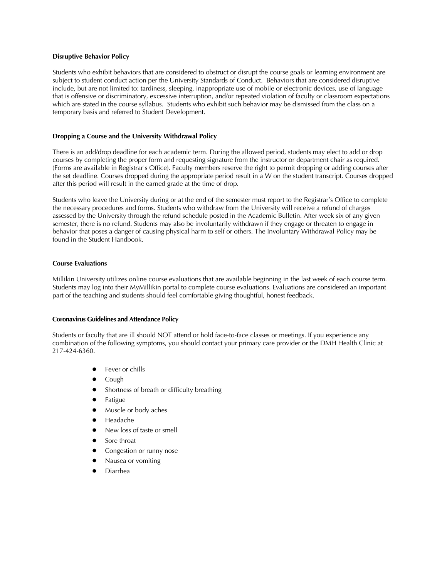#### **Disruptive Behavior Policy**

Students who exhibit behaviors that are considered to obstruct or disrupt the course goals or learning environment are subject to student conduct action per the University Standards of Conduct. Behaviors that are considered disruptive include, but are not limited to: tardiness, sleeping, inappropriate use of mobile or electronic devices, use of language that is offensive or discriminatory, excessive interruption, and/or repeated violation of faculty or classroom expectations which are stated in the course syllabus. Students who exhibit such behavior may be dismissed from the class on a temporary basis and referred to Student Development.

#### **Dropping a Course and the University Withdrawal Policy**

There is an add/drop deadline for each academic term. During the allowed period, students may elect to add or drop courses by completing the proper form and requesting signature from the instructor or department chair as required. (Forms are available in Registrar's Office). Faculty members reserve the right to permit dropping or adding courses after the set deadline. Courses dropped during the appropriate period result in a W on the student transcript. Courses dropped after this period will result in the earned grade at the time of drop.

Students who leave the University during or at the end of the semester must report to the Registrar's Office to complete the necessary procedures and forms. Students who withdraw from the University will receive a refund of charges assessed by the University through the refund schedule posted in the Academic Bulletin. After week six of any given semester, there is no refund. Students may also be involuntarily withdrawn if they engage or threaten to engage in behavior that poses a danger of causing physical harm to self or others. The Involuntary Withdrawal Policy may be found in the Student Handbook.

#### **Course Evaluations**

Millikin University utilizes online course evaluations that are available beginning in the last week of each course term. Students may log into their MyMillikin portal to complete course evaluations. Evaluations are considered an important part of the teaching and students should feel comfortable giving thoughtful, honest feedback.

#### **Coronavirus Guidelines and Attendance Policy**

Students or faculty that are ill should NOT attend or hold face-to-face classes or meetings. If you experience any combination of the following symptoms, you should contact your primary care provider or the DMH Health Clinic at 217-424-6360.

- Fever or chills
- Cough
- Shortness of breath or difficulty breathing
- Fatigue
- Muscle or body aches
- Headache
- New loss of taste or smell
- Sore throat
- Congestion or runny nose
- Nausea or vomiting
- **Diarrhea**